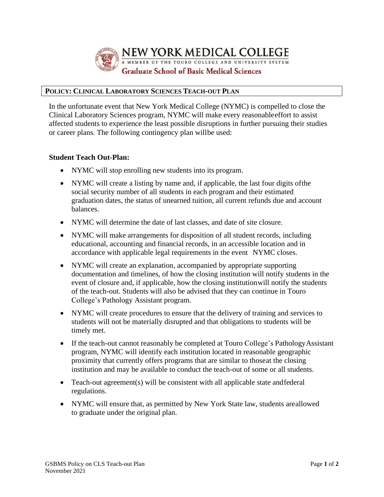

# **POLICY: CLINICAL LABORATORY SCIENCES TEACH-OUT PLAN**

In the unfortunate event that New York Medical College (NYMC) is compelled to close the Clinical Laboratory Sciences program, NYMC will make every reasonableeffort to assist affected students to experience the least possible disruptions in further pursuing their studies or career plans. The following contingency plan willbe used:

## **Student Teach Out-Plan:**

- NYMC will stop enrolling new students into its program.
- NYMC will create a listing by name and, if applicable, the last four digits of the social security number of all students in each program and their estimated graduation dates, the status of unearned tuition, all current refunds due and account balances.
- NYMC will determine the date of last classes, and date of site closure.
- NYMC will make arrangements for disposition of all student records, including educational, accounting and financial records, in an accessible location and in accordance with applicable legal requirements in the event NYMC closes.
- NYMC will create an explanation, accompanied by appropriate supporting documentation and timelines, of how the closing institution will notify students in the event of closure and, if applicable, how the closing institutionwill notify the students of the teach-out. Students will also be advised that they can continue in Touro College's Pathology Assistant program.
- NYMC will create procedures to ensure that the delivery of training and services to students will not be materially disrupted and that obligations to students will be timely met.
- If the teach-out cannot reasonably be completed at Touro College's PathologyAssistant program, NYMC will identify each institution located in reasonable geographic proximity that currently offers programs that are similar to thoseat the closing institution and may be available to conduct the teach-out of some or all students.
- Teach-out agreement(s) will be consistent with all applicable state and federal regulations.
- NYMC will ensure that, as permitted by New York State law, students areallowed to graduate under the original plan.